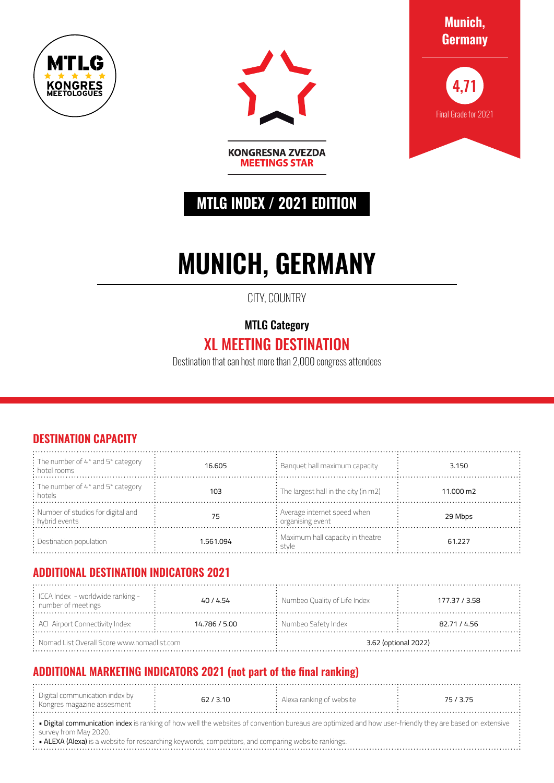



**Munich, Germany**



# **MTLG INDEX / 2021 EDITION**

**KONGRESNA ZVEZDA MEETINGS STAR** 

# **MUNICH, GERMANY**

CITY, COUNTRY

### MTLG Category

## XL MEETING DESTINATION

Destination that can host more than 2,000 congress attendees

#### **DESTINATION CAPACITY**

| $\frac{1}{2}$ : The number of 4* and 5* category<br>: hotel rooms | 16.605    | $:$ Banquet hall maximum capacity                               | 3.150     |
|-------------------------------------------------------------------|-----------|-----------------------------------------------------------------|-----------|
| : The number of 4* and 5* category<br>: hotels                    | 103       | $\frac{1}{2}$ : The largest hall in the city (in m2)            | 11.000 m2 |
| : Number of studios for digital and<br>: hybrid events            | 75        | : Average internet speed when<br>$\frac{1}{2}$ organising event | 29 Mbps   |
| $\therefore$ Destination population                               | 1.561.094 | : Maximum hall capacity in theatre<br>stvle                     | 61.227    |

#### **ADDITIONAL DESTINATION INDICATORS 2021**

| $\div$ ICCA Index - worldwide ranking -<br>$:$ number of meetings | 40 / 4.54     | $\therefore$ Numbeo Quality of Life Index | 177.37 / 3.58 |  |
|-------------------------------------------------------------------|---------------|-------------------------------------------|---------------|--|
| : ACI Airport Connectivity Index:                                 | 14.786 / 5.00 | $:$ Numbeo Safety Index                   | 82.71 / 4.56  |  |
| $\therefore$ Nomad List Overall Score www.nomadlist.com           |               | 3.62 (optional 2022)                      |               |  |

#### **ADDITIONAL MARKETING INDICATORS 2021 (not part of the final ranking)**

| . Digital communication index by $\,$ |         |                                 |  |
|---------------------------------------|---------|---------------------------------|--|
|                                       | ิ 3 1 N | : Alexa ranking of website $\,$ |  |
|                                       |         |                                 |  |
| : Kongres magazine assesment          |         |                                 |  |
|                                       |         |                                 |  |
|                                       |         |                                 |  |

• Digital communication index is ranking of how well the websites of convention bureaus are optimized and how user-friendly they are based on extensive survey from May 2020.

• ALEXA (Alexa) is a website for researching keywords, competitors, and comparing website rankings.